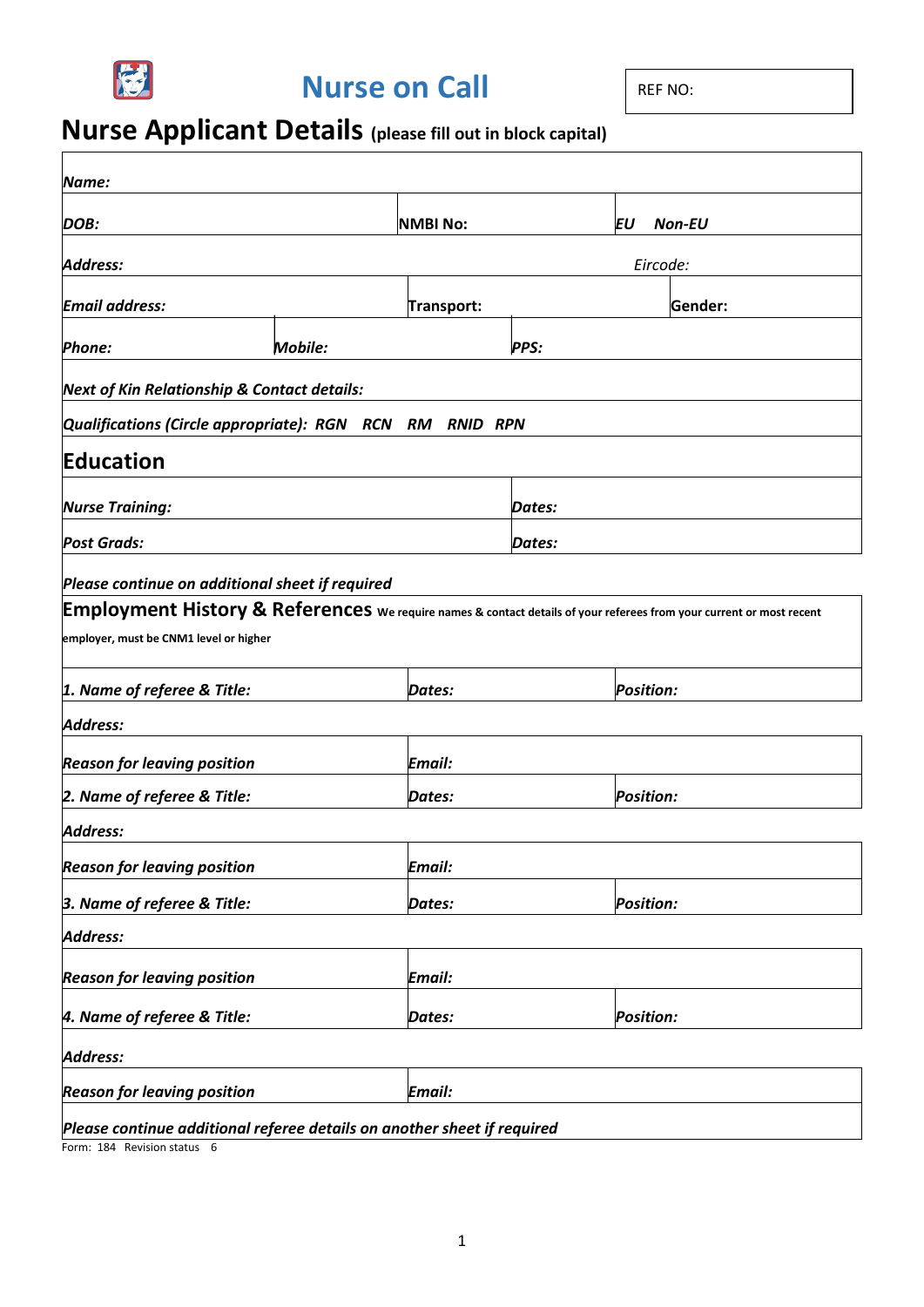

**Nurse on Call** REF NO:

# **Nurse Applicant Details (please fill out in block capital)**

| Name:                                                                                                                |                |                 |             |                  |                  |
|----------------------------------------------------------------------------------------------------------------------|----------------|-----------------|-------------|------------------|------------------|
| DOB:                                                                                                                 |                | <b>NMBI No:</b> |             | ΕU               | <b>Non-EU</b>    |
| Address:                                                                                                             |                |                 |             | Eircode:         |                  |
| <b>Email address:</b>                                                                                                |                | Transport:      |             |                  | Gender:          |
| <b>Phone:</b>                                                                                                        | <b>Mobile:</b> |                 | <b>PPS:</b> |                  |                  |
| <b>Next of Kin Relationship &amp; Contact details:</b>                                                               |                |                 |             |                  |                  |
| Qualifications (Circle appropriate): RGN RCN RM RNID RPN                                                             |                |                 |             |                  |                  |
| Education                                                                                                            |                |                 |             |                  |                  |
| <b>Nurse Training:</b>                                                                                               |                |                 | Dates:      |                  |                  |
| <b>Post Grads:</b>                                                                                                   |                |                 | Dates:      |                  |                  |
| Please continue on additional sheet if required                                                                      |                |                 |             |                  |                  |
| Employment History & References we require names & contact details of your referees from your current or most recent |                |                 |             |                  |                  |
| employer, must be CNM1 level or higher                                                                               |                |                 |             |                  |                  |
| 1. Name of referee & Title:                                                                                          |                | Dates:          |             | <b>Position:</b> |                  |
| <b>Address:</b>                                                                                                      |                |                 |             |                  |                  |
| <b>Reason for leaving position</b>                                                                                   |                | Email:          |             |                  |                  |
| 2. Name of referee & Title:                                                                                          |                | Dates:          |             |                  | <b>Position:</b> |
| Address:                                                                                                             |                |                 |             |                  |                  |
| <b>Reason for leaving position</b>                                                                                   |                | Email:          |             |                  |                  |
| 3. Name of referee & Title:                                                                                          |                | Dates:          |             | <b>Position:</b> |                  |
| <b>Address:</b>                                                                                                      |                |                 |             |                  |                  |
| <b>Reason for leaving position</b>                                                                                   |                | Email:          |             |                  |                  |
| 4. Name of referee & Title:<br>Dates:                                                                                |                |                 |             | <b>Position:</b> |                  |
| <b>Address:</b>                                                                                                      |                |                 |             |                  |                  |
| <b>Reason for leaving position</b>                                                                                   |                | Email:          |             |                  |                  |
| Please continue additional referee details on another sheet if required                                              |                |                 |             |                  |                  |

Form: 184 Revision status 6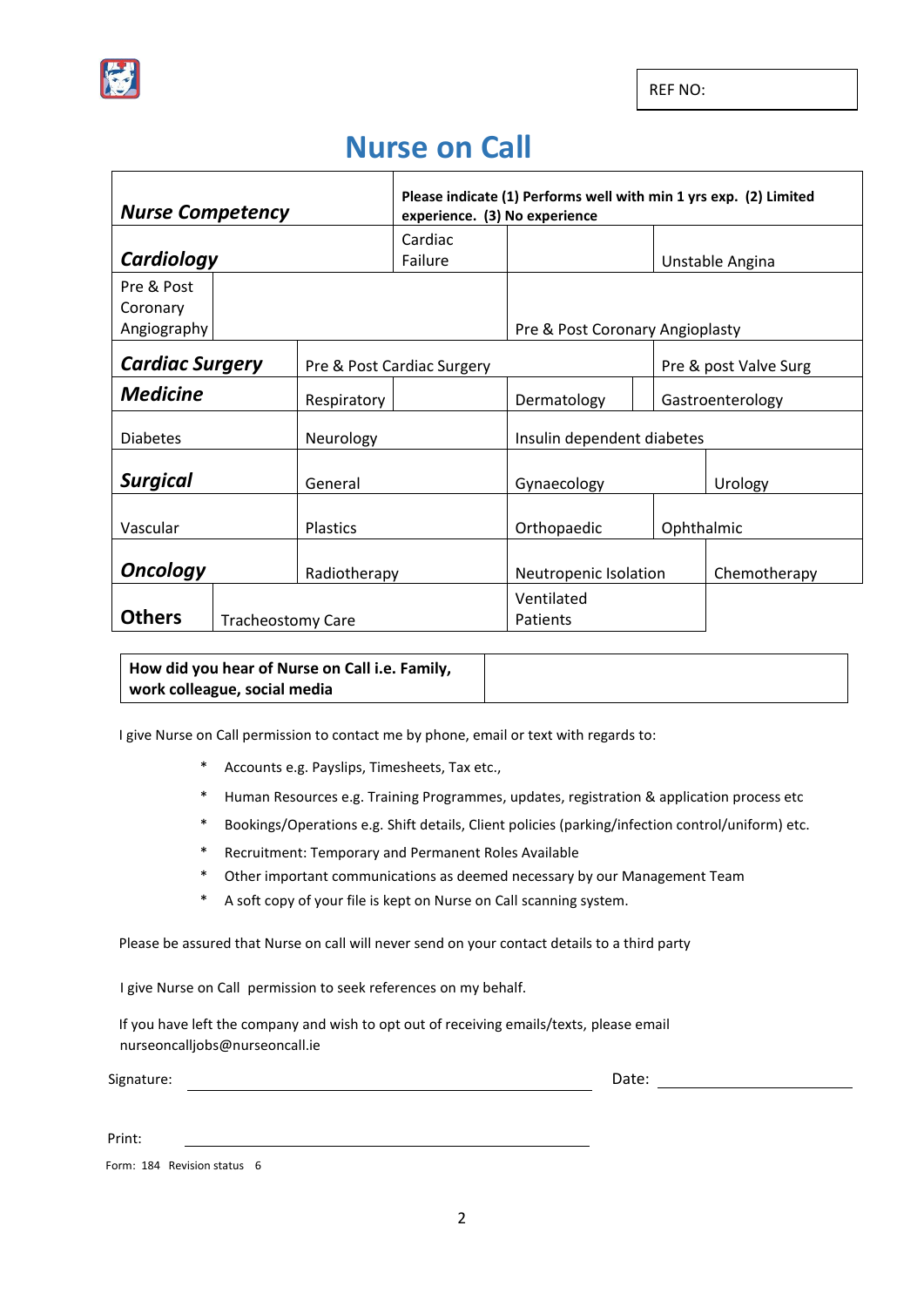

REF NO:

## **Nurse on Call**

| <b>Nurse Competency</b>         |  |                            | Please indicate (1) Performs well with min 1 yrs exp. (2) Limited<br>experience. (3) No experience |                                 |                       |  |
|---------------------------------|--|----------------------------|----------------------------------------------------------------------------------------------------|---------------------------------|-----------------------|--|
|                                 |  |                            | Cardiac                                                                                            |                                 |                       |  |
| Cardiology                      |  |                            | Failure                                                                                            |                                 | Unstable Angina       |  |
| Pre & Post<br>Coronary          |  |                            |                                                                                                    |                                 |                       |  |
| Angiography                     |  |                            |                                                                                                    | Pre & Post Coronary Angioplasty |                       |  |
| <b>Cardiac Surgery</b>          |  | Pre & Post Cardiac Surgery |                                                                                                    |                                 | Pre & post Valve Surg |  |
| <b>Medicine</b><br>Respiratory  |  |                            | Dermatology                                                                                        |                                 | Gastroenterology      |  |
| <b>Diabetes</b><br>Neurology    |  |                            | Insulin dependent diabetes                                                                         |                                 |                       |  |
| <b>Surgical</b><br>General      |  |                            | Gynaecology                                                                                        |                                 | Urology               |  |
| Vascular<br><b>Plastics</b>     |  |                            | Orthopaedic                                                                                        | Ophthalmic                      |                       |  |
| <b>Oncology</b><br>Radiotherapy |  |                            | Neutropenic Isolation                                                                              |                                 | Chemotherapy          |  |
| <b>Others</b>                   |  | <b>Tracheostomy Care</b>   |                                                                                                    | Ventilated<br>Patients          |                       |  |

**How did you hear of Nurse on Call i.e. Family, work colleague, social media** 

I give Nurse on Call permission to contact me by phone, email or text with regards to:

- \* Accounts e.g. Payslips, Timesheets, Tax etc.,
- \* Human Resources e.g. Training Programmes, updates, registration & application process etc
- \* Bookings/Operations e.g. Shift details, Client policies (parking/infection control/uniform) etc.
- \* Recruitment: Temporary and Permanent Roles Available
- \* Other important communications as deemed necessary by our Management Team
- \* A soft copy of your file is kept on Nurse on Call scanning system.

Please be assured that Nurse on call will never send on your contact details to a third party

I give Nurse on Call permission to seek references on my behalf.

If you have left the company and wish to opt out of receiving emails/texts, please email nurseoncalljobs@nurseoncall.ie

Signature: Date: 2008. [2010] Date: 2008. [2010] Date: 2008. [2010] Date: 2010. [2010] Date: 2010. [2010] Date: 2010. [2010] Date: 2010. [2010] Date: 2010. [2010] Date: 2010. [2010] Date: 2010. [2010] Date: 2010. [2010] Da

Print:

Form: 184 Revision status 6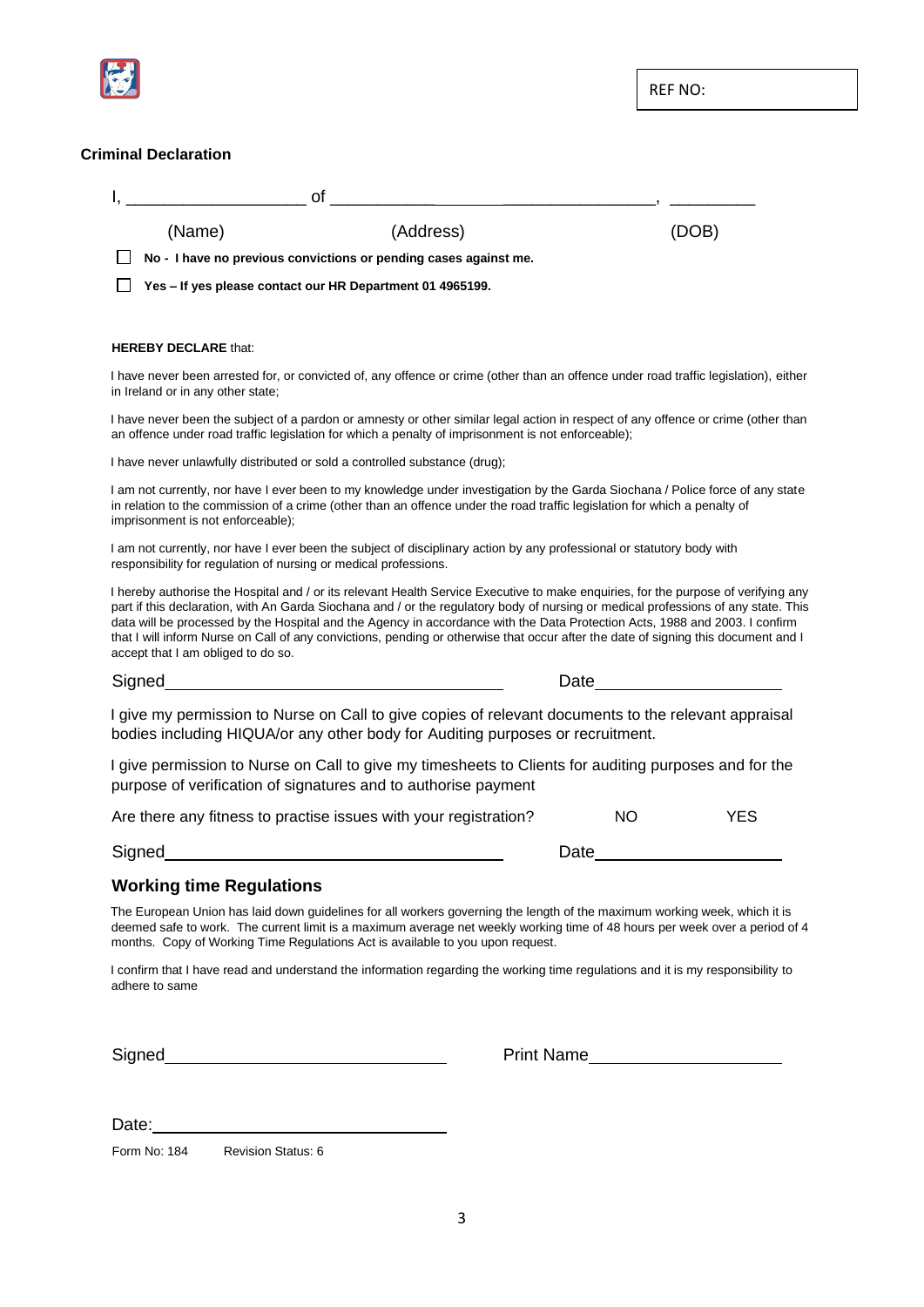

#### **Criminal Declaration**

|                                                                  | <u> 2008 - Andrea Andrea Andrea Andrea Andrea Andrea Andrea Andrea Andrea Andrea Andrea Andrea Andrea Andrea And</u>                                                                                                                                                                                                                                                                                                                                                                                                                          |                         |
|------------------------------------------------------------------|-----------------------------------------------------------------------------------------------------------------------------------------------------------------------------------------------------------------------------------------------------------------------------------------------------------------------------------------------------------------------------------------------------------------------------------------------------------------------------------------------------------------------------------------------|-------------------------|
| (Name)                                                           | (Address)                                                                                                                                                                                                                                                                                                                                                                                                                                                                                                                                     | (DOB)                   |
|                                                                  | No - I have no previous convictions or pending cases against me.                                                                                                                                                                                                                                                                                                                                                                                                                                                                              |                         |
|                                                                  | Yes - If yes please contact our HR Department 01 4965199.                                                                                                                                                                                                                                                                                                                                                                                                                                                                                     |                         |
|                                                                  |                                                                                                                                                                                                                                                                                                                                                                                                                                                                                                                                               |                         |
| <b>HEREBY DECLARE that:</b>                                      |                                                                                                                                                                                                                                                                                                                                                                                                                                                                                                                                               |                         |
| in Ireland or in any other state;                                | I have never been arrested for, or convicted of, any offence or crime (other than an offence under road traffic legislation), either                                                                                                                                                                                                                                                                                                                                                                                                          |                         |
|                                                                  | I have never been the subject of a pardon or amnesty or other similar legal action in respect of any offence or crime (other than<br>an offence under road traffic legislation for which a penalty of imprisonment is not enforceable);                                                                                                                                                                                                                                                                                                       |                         |
|                                                                  | I have never unlawfully distributed or sold a controlled substance (drug);                                                                                                                                                                                                                                                                                                                                                                                                                                                                    |                         |
| imprisonment is not enforceable);                                | I am not currently, nor have I ever been to my knowledge under investigation by the Garda Siochana / Police force of any state<br>in relation to the commission of a crime (other than an offence under the road traffic legislation for which a penalty of                                                                                                                                                                                                                                                                                   |                         |
| responsibility for regulation of nursing or medical professions. | I am not currently, nor have I ever been the subject of disciplinary action by any professional or statutory body with                                                                                                                                                                                                                                                                                                                                                                                                                        |                         |
| accept that I am obliged to do so.                               | I hereby authorise the Hospital and / or its relevant Health Service Executive to make enquiries, for the purpose of verifying any<br>part if this declaration, with An Garda Siochana and / or the regulatory body of nursing or medical professions of any state. This<br>data will be processed by the Hospital and the Agency in accordance with the Data Protection Acts, 1988 and 2003. I confirm<br>that I will inform Nurse on Call of any convictions, pending or otherwise that occur after the date of signing this document and I |                         |
|                                                                  |                                                                                                                                                                                                                                                                                                                                                                                                                                                                                                                                               | Date                    |
|                                                                  | I give my permission to Nurse on Call to give copies of relevant documents to the relevant appraisal<br>bodies including HIQUA/or any other body for Auditing purposes or recruitment.                                                                                                                                                                                                                                                                                                                                                        |                         |
|                                                                  | I give permission to Nurse on Call to give my timesheets to Clients for auditing purposes and for the<br>purpose of verification of signatures and to authorise payment                                                                                                                                                                                                                                                                                                                                                                       |                         |
|                                                                  | Are there any fitness to practise issues with your registration?                                                                                                                                                                                                                                                                                                                                                                                                                                                                              | <b>NO</b><br><b>YES</b> |
| <b>Signed</b>                                                    |                                                                                                                                                                                                                                                                                                                                                                                                                                                                                                                                               | Date                    |
| <b>Working time Regulations</b>                                  |                                                                                                                                                                                                                                                                                                                                                                                                                                                                                                                                               |                         |
|                                                                  | The European Union has laid down guidelines for all workers governing the length of the maximum working week, which it is<br>deemed safe to work. The current limit is a maximum average net weekly working time of 48 hours per week over a period of 4<br>months. Copy of Working Time Regulations Act is available to you upon request.                                                                                                                                                                                                    |                         |
| adhere to same                                                   | I confirm that I have read and understand the information regarding the working time regulations and it is my responsibility to                                                                                                                                                                                                                                                                                                                                                                                                               |                         |
|                                                                  |                                                                                                                                                                                                                                                                                                                                                                                                                                                                                                                                               |                         |

Date:

Form No: 184 Revision Status: 6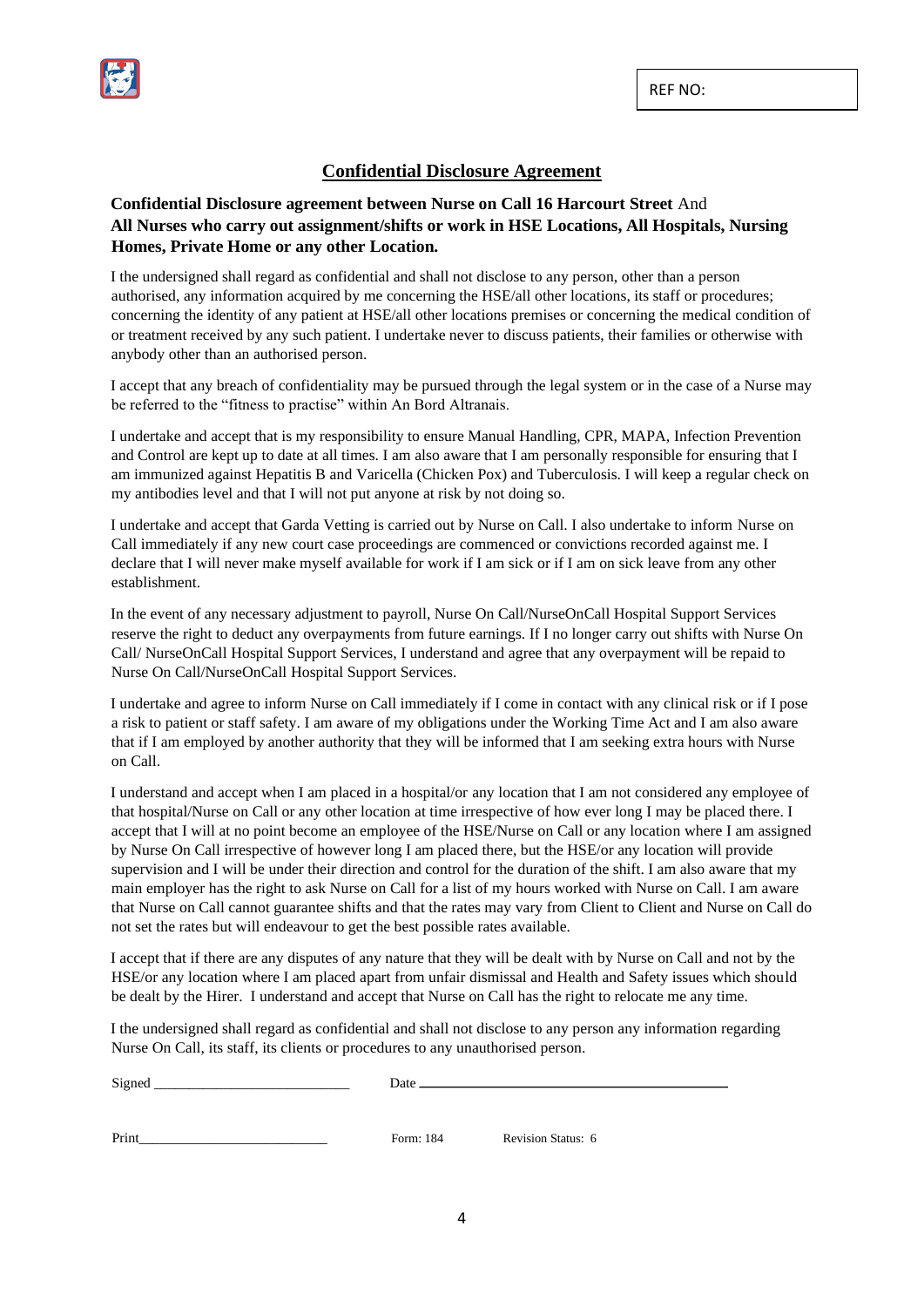

#### **Confidential Disclosure Agreement**

#### **Confidential Disclosure agreement between Nurse on Call 16 Harcourt Street** And **All Nurses who carry out assignment/shifts or work in HSE Locations, All Hospitals, Nursing Homes, Private Home or any other Location.**

I the undersigned shall regard as confidential and shall not disclose to any person, other than a person authorised, any information acquired by me concerning the HSE/all other locations, its staff or procedures; concerning the identity of any patient at HSE/all other locations premises or concerning the medical condition of or treatment received by any such patient. I undertake never to discuss patients, their families or otherwise with anybody other than an authorised person.

I accept that any breach of confidentiality may be pursued through the legal system or in the case of a Nurse may be referred to the "fitness to practise" within An Bord Altranais.

I undertake and accept that is my responsibility to ensure Manual Handling, CPR, MAPA, Infection Prevention and Control are kept up to date at all times. I am also aware that I am personally responsible for ensuring that I am immunized against Hepatitis B and Varicella (Chicken Pox) and Tuberculosis. I will keep a regular check on my antibodies level and that I will not put anyone at risk by not doing so.

I undertake and accept that Garda Vetting is carried out by Nurse on Call. I also undertake to inform Nurse on Call immediately if any new court case proceedings are commenced or convictions recorded against me. I declare that I will never make myself available for work if I am sick or if I am on sick leave from any other establishment.

In the event of any necessary adjustment to payroll, Nurse On Call/NurseOnCall Hospital Support Services reserve the right to deduct any overpayments from future earnings. If I no longer carry out shifts with Nurse On Call/ NurseOnCall Hospital Support Services, I understand and agree that any overpayment will be repaid to Nurse On Call/NurseOnCall Hospital Support Services.

I undertake and agree to inform Nurse on Call immediately if I come in contact with any clinical risk or if I pose a risk to patient or staff safety. I am aware of my obligations under the Working Time Act and I am also aware that if I am employed by another authority that they will be informed that I am seeking extra hours with Nurse on Call.

I understand and accept when I am placed in a hospital/or any location that I am not considered any employee of that hospital/Nurse on Call or any other location at time irrespective of how ever long I may be placed there. I accept that I will at no point become an employee of the HSE/Nurse on Call or any location where I am assigned by Nurse On Call irrespective of however long I am placed there, but the HSE/or any location will provide supervision and I will be under their direction and control for the duration of the shift. I am also aware that my main employer has the right to ask Nurse on Call for a list of my hours worked with Nurse on Call. I am aware that Nurse on Call cannot guarantee shifts and that the rates may vary from Client to Client and Nurse on Call do not set the rates but will endeavour to get the best possible rates available.

I accept that if there are any disputes of any nature that they will be dealt with by Nurse on Call and not by the HSE/or any location where I am placed apart from unfair dismissal and Health and Safety issues which should be dealt by the Hirer. I understand and accept that Nurse on Call has the right to relocate me any time.

I the undersigned shall regard as confidential and shall not disclose to any person any information regarding Nurse On Call, its staff, its clients or procedures to any unauthorised person.

Signed Date

Print Print Prince Communication Status: 6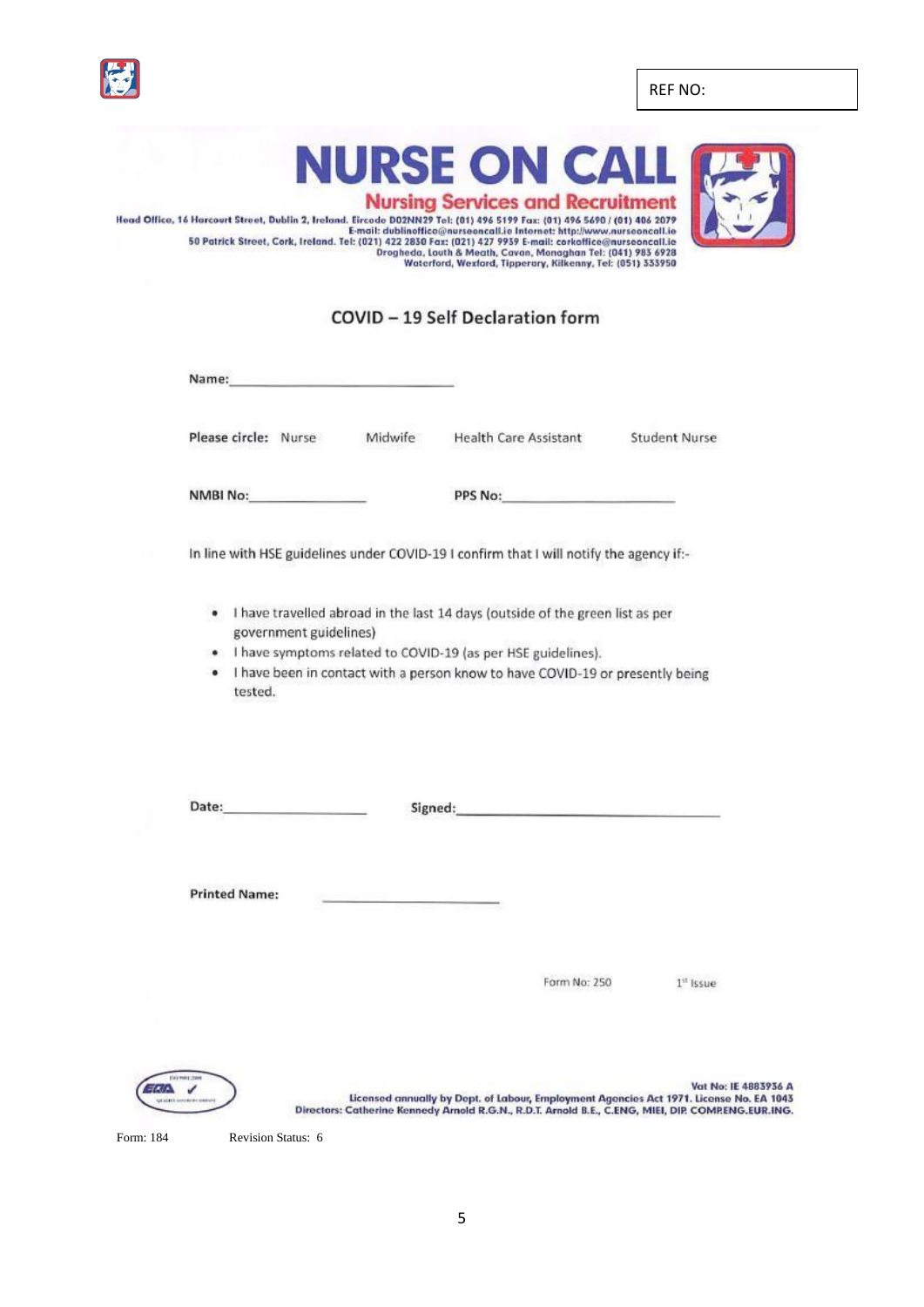REF NO:



**NURSE ON CA** 



**Nursing Services and Recruitment** Head Office, 16 Harcourt Street, Dublin 2, Ireland. Eirode DO2INN29 Tel. (01) 496 S199 Fax: (01) 496 S690 /(01) 406 S690 /(01) 496 S199 Fax: (021) 427 9839 Fax: (021) 427 9839 Fax: (021) 427 9839 Fax: (021) 427 9939 E-mail

### COVID - 19 Self Declaration form

Name:

Please circle: Nurse

**Health Care Assistant** Midwife

**Student Nurse** 

NMBI No:

PPS No:

In line with HSE guidelines under COVID-19 I confirm that I will notify the agency if:-

- . I have travelled abroad in the last 14 days (outside of the green list as per government guidelines)
- . I have symptoms related to COVID-19 (as per HSE guidelines).
- I have been in contact with a person know to have COVID-19 or presently being  $\bullet$ tested.

Signed: The Commission of the Commission of the Commission of the Commission of the Commission of the Commission of the Commission of the Commission of the Commission of the Commission of the Commission of the Commission o

**Printed Name:** 

Form No: 250

 $1<sup>st</sup>$  Issue



Vat No: IE 4883936 A Licensed annually by Dept. of Labour, Employment Agencies Act 1971. License No. EA 1043 Directors: Catherine Kennedy Arnold R.G.N., R.D.T. Arnold B.E., C.ENG, MIEI, DIP. COMPENG.EUR.ING.

Form: 184 Revision Status: 6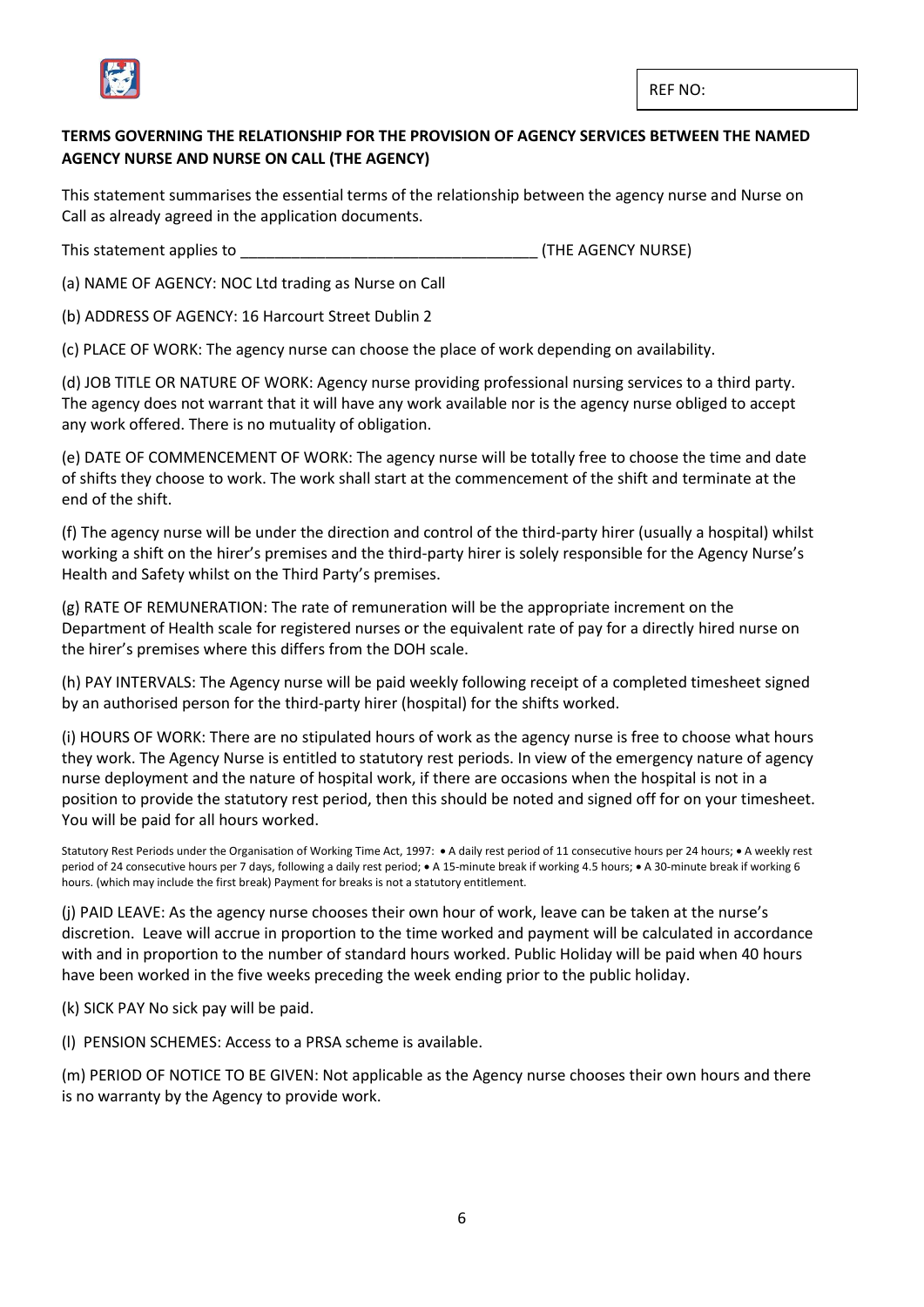

#### **TERMS GOVERNING THE RELATIONSHIP FOR THE PROVISION OF AGENCY SERVICES BETWEEN THE NAMED AGENCY NURSE AND NURSE ON CALL (THE AGENCY)**

This statement summarises the essential terms of the relationship between the agency nurse and Nurse on Call as already agreed in the application documents.

This statement applies to **This statement applies to EXECUTE 20** (THE AGENCY NURSE)

(a) NAME OF AGENCY: NOC Ltd trading as Nurse on Call

(b) ADDRESS OF AGENCY: 16 Harcourt Street Dublin 2

(c) PLACE OF WORK: The agency nurse can choose the place of work depending on availability.

(d) JOB TITLE OR NATURE OF WORK: Agency nurse providing professional nursing services to a third party. The agency does not warrant that it will have any work available nor is the agency nurse obliged to accept any work offered. There is no mutuality of obligation.

(e) DATE OF COMMENCEMENT OF WORK: The agency nurse will be totally free to choose the time and date of shifts they choose to work. The work shall start at the commencement of the shift and terminate at the end of the shift.

(f) The agency nurse will be under the direction and control of the third-party hirer (usually a hospital) whilst working a shift on the hirer's premises and the third-party hirer is solely responsible for the Agency Nurse's Health and Safety whilst on the Third Party's premises.

(g) RATE OF REMUNERATION: The rate of remuneration will be the appropriate increment on the Department of Health scale for registered nurses or the equivalent rate of pay for a directly hired nurse on the hirer's premises where this differs from the DOH scale.

(h) PAY INTERVALS: The Agency nurse will be paid weekly following receipt of a completed timesheet signed by an authorised person for the third-party hirer (hospital) for the shifts worked.

(i) HOURS OF WORK: There are no stipulated hours of work as the agency nurse is free to choose what hours they work. The Agency Nurse is entitled to statutory rest periods. In view of the emergency nature of agency nurse deployment and the nature of hospital work, if there are occasions when the hospital is not in a position to provide the statutory rest period, then this should be noted and signed off for on your timesheet. You will be paid for all hours worked.

Statutory Rest Periods under the Organisation of Working Time Act, 1997: • A daily rest period of 11 consecutive hours per 24 hours; • A weekly rest period of 24 consecutive hours per 7 days, following a daily rest period; • A 15-minute break if working 4.5 hours; • A 30-minute break if working 6 hours. (which may include the first break) Payment for breaks is not a statutory entitlement.

(j) PAID LEAVE: As the agency nurse chooses their own hour of work, leave can be taken at the nurse's discretion. Leave will accrue in proportion to the time worked and payment will be calculated in accordance with and in proportion to the number of standard hours worked. Public Holiday will be paid when 40 hours have been worked in the five weeks preceding the week ending prior to the public holiday.

(k) SICK PAY No sick pay will be paid.

(l) PENSION SCHEMES: Access to a PRSA scheme is available.

(m) PERIOD OF NOTICE TO BE GIVEN: Not applicable as the Agency nurse chooses their own hours and there is no warranty by the Agency to provide work.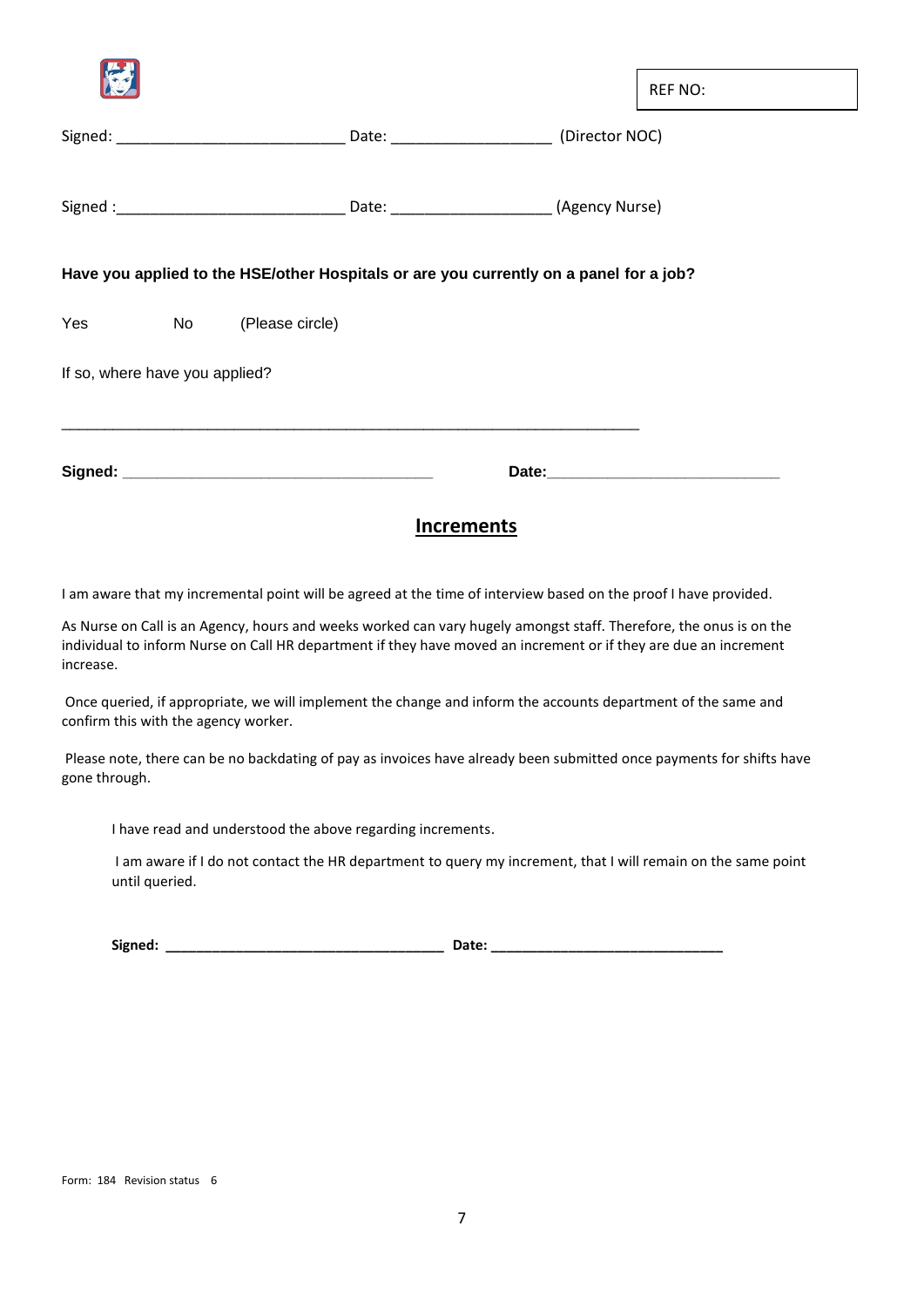| <b>Increments</b>              |  |                        |  |                                                                                        |  |                |
|--------------------------------|--|------------------------|--|----------------------------------------------------------------------------------------|--|----------------|
|                                |  |                        |  |                                                                                        |  |                |
| If so, where have you applied? |  |                        |  |                                                                                        |  |                |
|                                |  | Yes No (Please circle) |  |                                                                                        |  |                |
|                                |  |                        |  | Have you applied to the HSE/other Hospitals or are you currently on a panel for a job? |  |                |
|                                |  |                        |  |                                                                                        |  |                |
|                                |  |                        |  |                                                                                        |  |                |
|                                |  |                        |  |                                                                                        |  | <b>REF NO:</b> |

I am aware that my incremental point will be agreed at the time of interview based on the proof I have provided.

As Nurse on Call is an Agency, hours and weeks worked can vary hugely amongst staff. Therefore, the onus is on the individual to inform Nurse on Call HR department if they have moved an increment or if they are due an increment increase.

Once queried, if appropriate, we will implement the change and inform the accounts department of the same and confirm this with the agency worker.

Please note, there can be no backdating of pay as invoices have already been submitted once payments for shifts have gone through.

I have read and understood the above regarding increments.

I am aware if I do not contact the HR department to query my increment, that I will remain on the same point until queried.

| Signed: | <b>Date:</b> |
|---------|--------------|
|         |              |